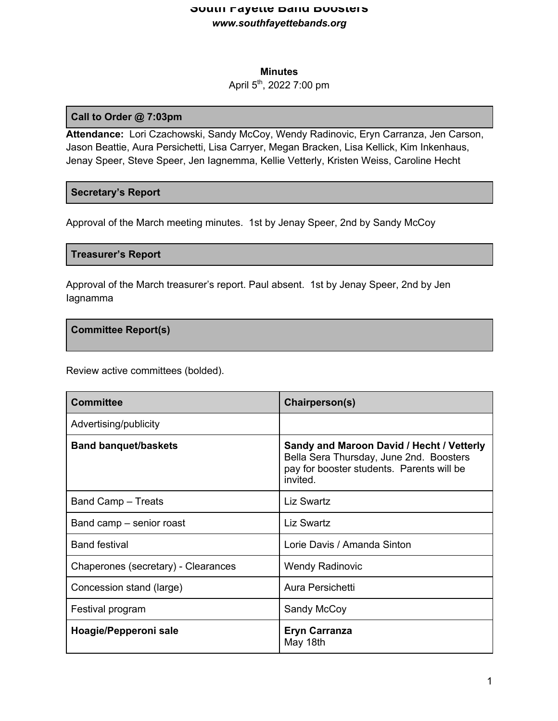### **Minutes**

## April 5th, 2022 7:00 pm

#### **Call to Order @ 7:03pm**

**Attendance:** Lori Czachowski, Sandy McCoy, Wendy Radinovic, Eryn Carranza, Jen Carson, Jason Beattie, Aura Persichetti, Lisa Carryer, Megan Bracken, Lisa Kellick, Kim Inkenhaus, Jenay Speer, Steve Speer, Jen Iagnemma, Kellie Vetterly, Kristen Weiss, Caroline Hecht

## **Secretary's Report**

Approval of the March meeting minutes. 1st by Jenay Speer, 2nd by Sandy McCoy

#### **Treasurer's Report**

Approval of the March treasurer's report. Paul absent. 1st by Jenay Speer, 2nd by Jen Iagnamma

#### **Committee Report(s)**

Review active committees (bolded).

| <b>Committee</b>                    | Chairperson(s)                                                                                                                                |
|-------------------------------------|-----------------------------------------------------------------------------------------------------------------------------------------------|
| Advertising/publicity               |                                                                                                                                               |
| <b>Band banquet/baskets</b>         | Sandy and Maroon David / Hecht / Vetterly<br>Bella Sera Thursday, June 2nd. Boosters<br>pay for booster students. Parents will be<br>invited. |
| <b>Band Camp – Treats</b>           | <b>Liz Swartz</b>                                                                                                                             |
| Band camp – senior roast            | <b>Liz Swartz</b>                                                                                                                             |
| <b>Band festival</b>                | Lorie Davis / Amanda Sinton                                                                                                                   |
| Chaperones (secretary) - Clearances | <b>Wendy Radinovic</b>                                                                                                                        |
| Concession stand (large)            | Aura Persichetti                                                                                                                              |
| Festival program                    | Sandy McCoy                                                                                                                                   |
| Hoagie/Pepperoni sale               | <b>Eryn Carranza</b><br>May 18th                                                                                                              |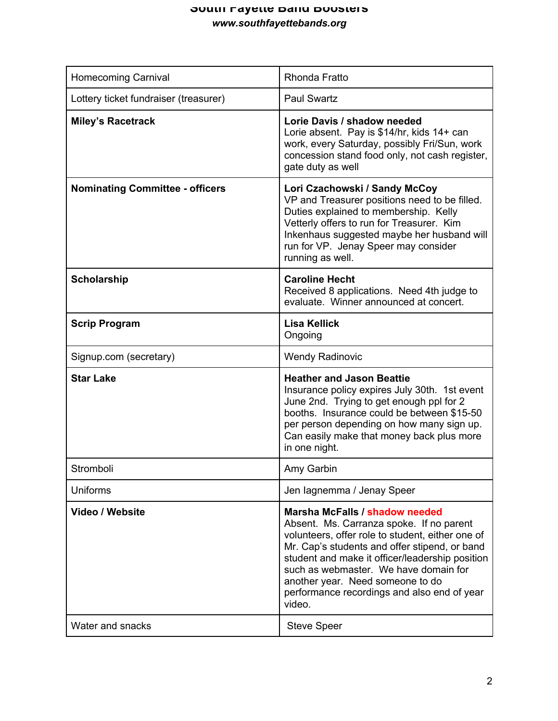| <b>Homecoming Carnival</b>             | <b>Rhonda Fratto</b>                                                                                                                                                                                                                                                                                                                                                     |
|----------------------------------------|--------------------------------------------------------------------------------------------------------------------------------------------------------------------------------------------------------------------------------------------------------------------------------------------------------------------------------------------------------------------------|
| Lottery ticket fundraiser (treasurer)  | <b>Paul Swartz</b>                                                                                                                                                                                                                                                                                                                                                       |
| <b>Miley's Racetrack</b>               | Lorie Davis / shadow needed<br>Lorie absent. Pay is \$14/hr, kids 14+ can<br>work, every Saturday, possibly Fri/Sun, work<br>concession stand food only, not cash register,<br>gate duty as well                                                                                                                                                                         |
| <b>Nominating Committee - officers</b> | Lori Czachowski / Sandy McCoy<br>VP and Treasurer positions need to be filled.<br>Duties explained to membership. Kelly<br>Vetterly offers to run for Treasurer. Kim<br>Inkenhaus suggested maybe her husband will<br>run for VP. Jenay Speer may consider<br>running as well.                                                                                           |
| <b>Scholarship</b>                     | <b>Caroline Hecht</b><br>Received 8 applications. Need 4th judge to<br>evaluate. Winner announced at concert.                                                                                                                                                                                                                                                            |
| <b>Scrip Program</b>                   | <b>Lisa Kellick</b><br>Ongoing                                                                                                                                                                                                                                                                                                                                           |
| Signup.com (secretary)                 | <b>Wendy Radinovic</b>                                                                                                                                                                                                                                                                                                                                                   |
| <b>Star Lake</b>                       | <b>Heather and Jason Beattie</b><br>Insurance policy expires July 30th. 1st event<br>June 2nd. Trying to get enough ppl for 2<br>booths. Insurance could be between \$15-50<br>per person depending on how many sign up.<br>Can easily make that money back plus more<br>in one night.                                                                                   |
| Stromboli                              | Amy Garbin                                                                                                                                                                                                                                                                                                                                                               |
| Uniforms                               | Jen lagnemma / Jenay Speer                                                                                                                                                                                                                                                                                                                                               |
| Video / Website                        | Marsha McFalls / shadow needed<br>Absent. Ms. Carranza spoke. If no parent<br>volunteers, offer role to student, either one of<br>Mr. Cap's students and offer stipend, or band<br>student and make it officer/leadership position<br>such as webmaster. We have domain for<br>another year. Need someone to do<br>performance recordings and also end of year<br>video. |
| Water and snacks                       | <b>Steve Speer</b>                                                                                                                                                                                                                                                                                                                                                       |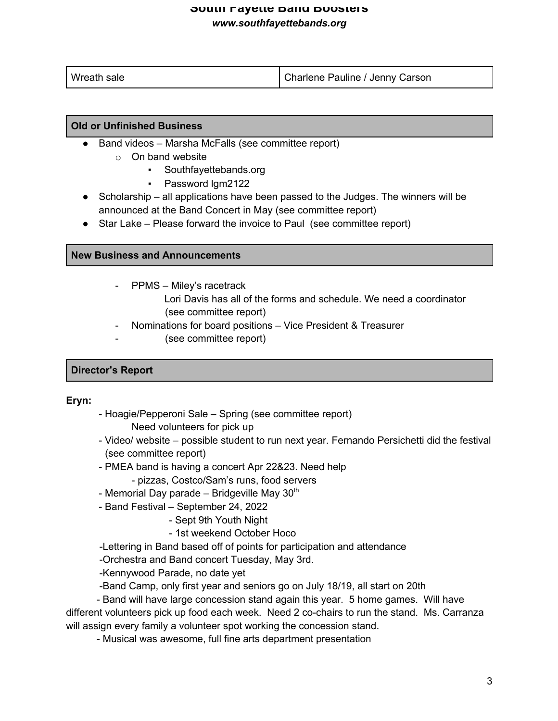| Wreath sale | Charlene Pauline / Jenny Carson |
|-------------|---------------------------------|

#### **Old or Unfinished Business**

- Band videos Marsha McFalls (see committee report)
	- o On band website
		- Southfayettebands.org
		- Password lgm2122
- Scholarship all applications have been passed to the Judges. The winners will be announced at the Band Concert in May (see committee report)
- Star Lake Please forward the invoice to Paul (see committee report)

#### **New Business and Announcements**

- PPMS Miley's racetrack
	- Lori Davis has all of the forms and schedule. We need a coordinator (see committee report)
- Nominations for board positions Vice President & Treasurer
	- (see committee report)

# **Director's Report**

#### **Eryn:**

- Hoagie/Pepperoni Sale Spring (see committee report) Need volunteers for pick up
- Video/ website possible student to run next year. Fernando Persichetti did the festival (see committee report)
- PMEA band is having a concert Apr 22&23. Need help
	- pizzas, Costco/Sam's runs, food servers
- Memorial Day parade Bridgeville May  $30<sup>th</sup>$
- Band Festival September 24, 2022
	- Sept 9th Youth Night
	- 1st weekend October Hoco
- -Lettering in Band based off of points for participation and attendance
- -Orchestra and Band concert Tuesday, May 3rd.
- -Kennywood Parade, no date yet
- -Band Camp, only first year and seniors go on July 18/19, all start on 20th

 - Band will have large concession stand again this year. 5 home games. Will have different volunteers pick up food each week. Need 2 co-chairs to run the stand. Ms. Carranza will assign every family a volunteer spot working the concession stand.

- Musical was awesome, full fine arts department presentation